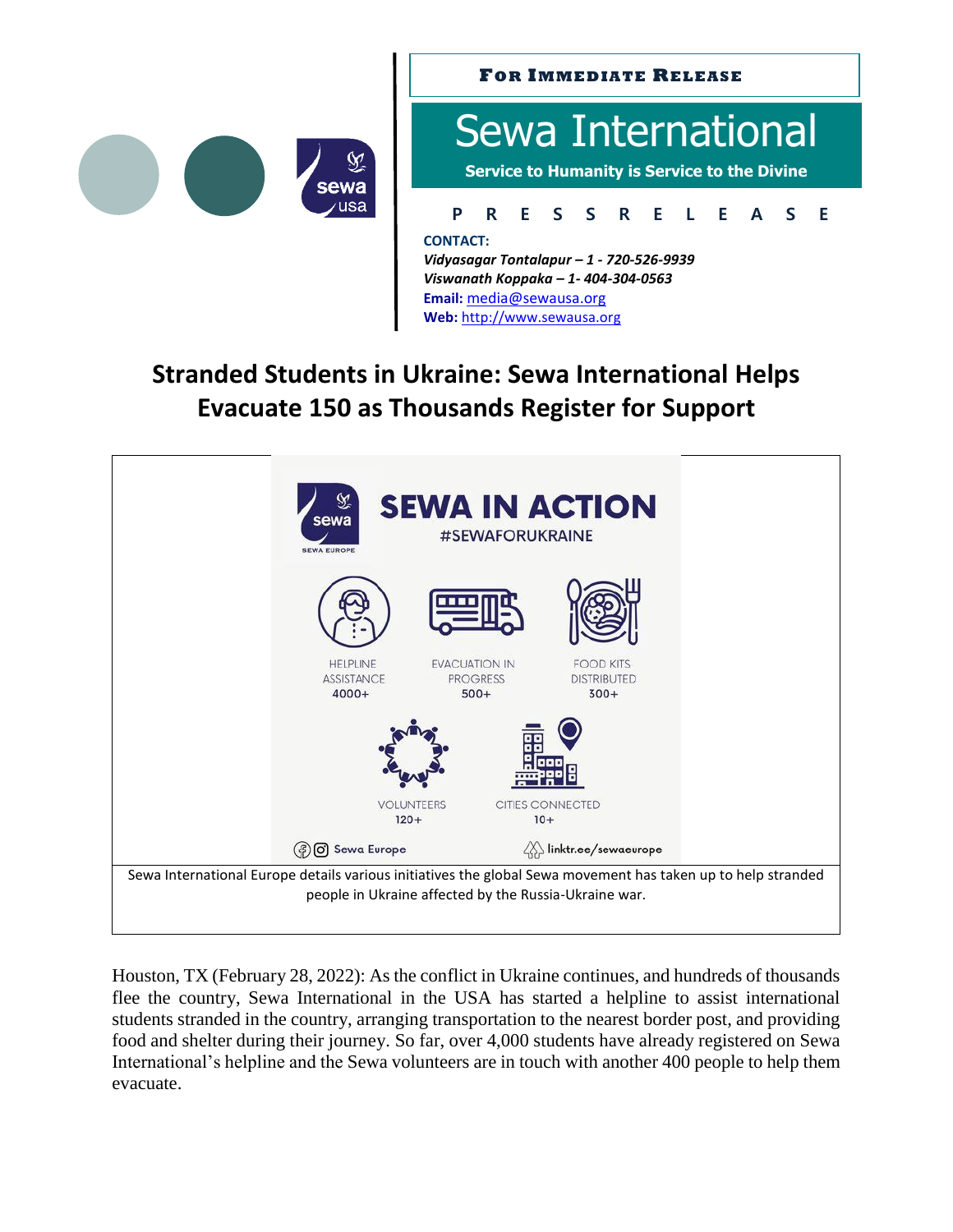



## **Stranded Students in Ukraine: Sewa International Helps Evacuate 150 as Thousands Register for Support**

**Web:** [http://www.sewausa.org](http://www.sewausa.org/)



Houston, TX (February 28, 2022): As the conflict in Ukraine continues, and hundreds of thousands flee the country, Sewa International in the USA has started a helpline to assist international students stranded in the country, arranging transportation to the nearest border post, and providing food and shelter during their journey. So far, over 4,000 students have already registered on Sewa International's helpline and the Sewa volunteers are in touch with another 400 people to help them evacuate.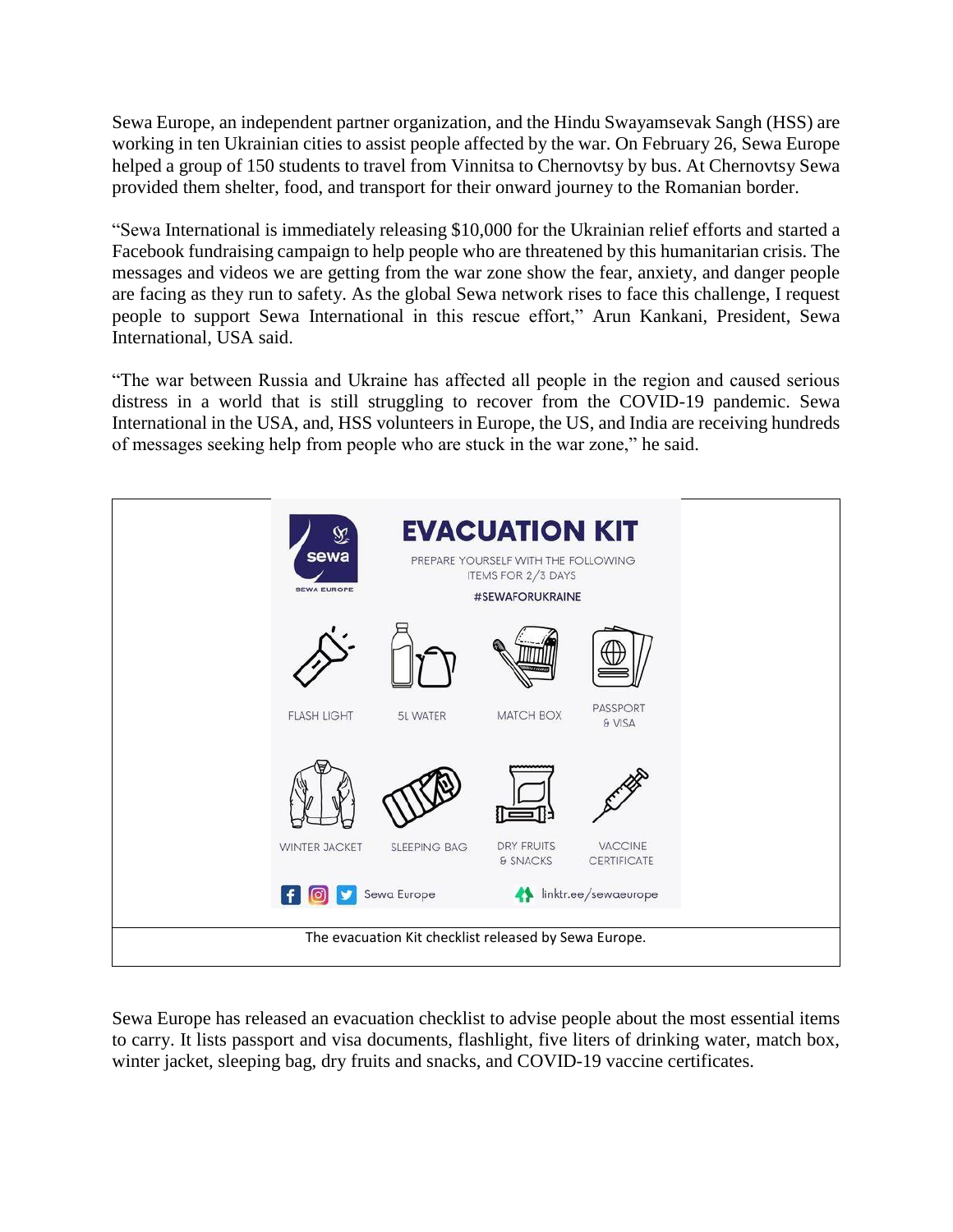Sewa Europe, an independent partner organization, and the Hindu Swayamsevak Sangh (HSS) are working in ten Ukrainian cities to assist people affected by the war. On February 26, Sewa Europe helped a group of 150 students to travel from Vinnitsa to Chernovtsy by bus. At Chernovtsy Sewa provided them shelter, food, and transport for their onward journey to the Romanian border.

"Sewa International is immediately releasing \$10,000 for the Ukrainian relief efforts and started a Facebook fundraising campaign to help people who are threatened by this humanitarian crisis. The messages and videos we are getting from the war zone show the fear, anxiety, and danger people are facing as they run to safety. As the global Sewa network rises to face this challenge, I request people to support Sewa International in this rescue effort," Arun Kankani, President, Sewa International, USA said.

"The war between Russia and Ukraine has affected all people in the region and caused serious distress in a world that is still struggling to recover from the COVID-19 pandemic. Sewa International in the USA, and, HSS volunteers in Europe, the US, and India are receiving hundreds of messages seeking help from people who are stuck in the war zone," he said.



Sewa Europe has released an evacuation checklist to advise people about the most essential items to carry. It lists passport and visa documents, flashlight, five liters of drinking water, match box, winter jacket, sleeping bag, dry fruits and snacks, and COVID-19 vaccine certificates.